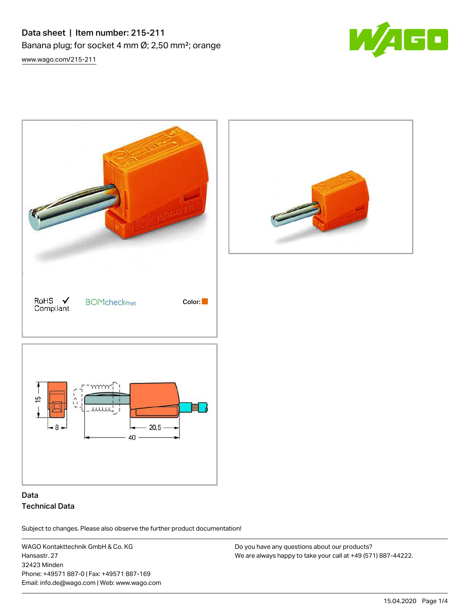# Data sheet | Item number: 215-211 Banana plug; for socket 4 mm Ø; 2,50 mm²; orange [www.wago.com/215-211](http://www.wago.com/215-211)







## Data Technical Data

Subject to changes. Please also observe the further product documentation!

WAGO Kontakttechnik GmbH & Co. KG Hansastr. 27 32423 Minden Phone: +49571 887-0 | Fax: +49571 887-169 Email: info.de@wago.com | Web: www.wago.com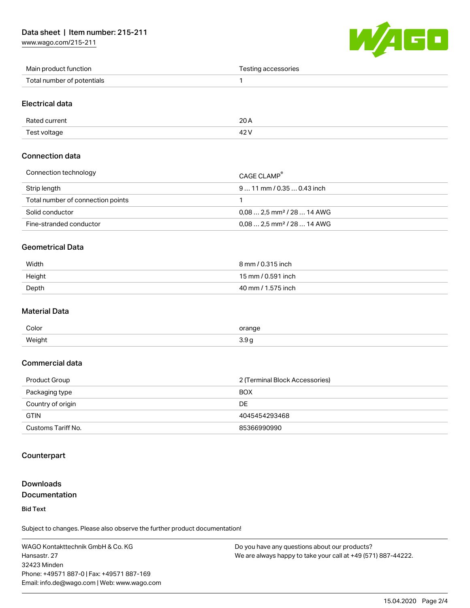[www.wago.com/215-211](http://www.wago.com/215-211)



| Main product function      | Testing accessories |
|----------------------------|---------------------|
| Total number of potentials |                     |

#### Electrical data

| Rated current | nn.<br>20 A |
|---------------|-------------|
| Test voltage  | 101         |

### Connection data

| Connection technology             | CAGE CLAMP                              |
|-----------------------------------|-----------------------------------------|
| Strip length                      | $911$ mm / 0.35  0.43 inch              |
| Total number of connection points |                                         |
| Solid conductor                   | $0.08$ 2.5 mm <sup>2</sup> / 28  14 AWG |
| Fine-stranded conductor           | $0.08$ 2.5 mm <sup>2</sup> / 28  14 AWG |

#### Geometrical Data

| Width  | 8 mm / 0.315 inch  |
|--------|--------------------|
| Height | 15 mm / 0.591 inch |
| Depth  | 40 mm / 1.575 inch |

#### Material Data

| Color  | orange<br>$- \cdot -$<br>. |
|--------|----------------------------|
| Weight | <u>ົ</u><br><b></b><br>. . |

### Commercial data

| Product Group      | 2 (Terminal Block Accessories) |
|--------------------|--------------------------------|
| Packaging type     | <b>BOX</b>                     |
| Country of origin  | DE                             |
| <b>GTIN</b>        | 4045454293468                  |
| Customs Tariff No. | 85366990990                    |

#### Counterpart

### Downloads Documentation

Bid Text

Subject to changes. Please also observe the further product documentation!

WAGO Kontakttechnik GmbH & Co. KG Hansastr. 27 32423 Minden Phone: +49571 887-0 | Fax: +49571 887-169 Email: info.de@wago.com | Web: www.wago.com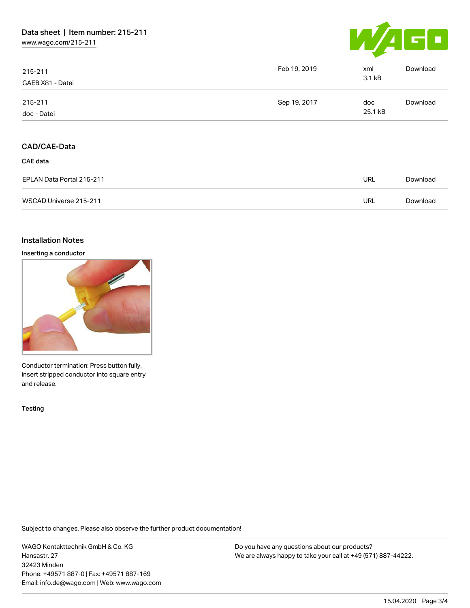

| 215-211<br>GAEB X81 - Datei            | Feb 19, 2019 | xml<br>3.1 kB  | Download |
|----------------------------------------|--------------|----------------|----------|
| 215-211<br>doc - Datei                 | Sep 19, 2017 | doc<br>25.1 kB | Download |
| <b>CAD/CAE-Data</b><br><b>CAE</b> data |              |                |          |
| EPLAN Data Portal 215-211              |              | URL            | Download |
| WSCAD Universe 215-211                 |              | URL            | Download |

#### Installation Notes

Inserting a conductor



Conductor termination: Press button fully, insert stripped conductor into square entry and release.

**Testing** 

Subject to changes. Please also observe the further product documentation!

WAGO Kontakttechnik GmbH & Co. KG Hansastr. 27 32423 Minden Phone: +49571 887-0 | Fax: +49571 887-169 Email: info.de@wago.com | Web: www.wago.com